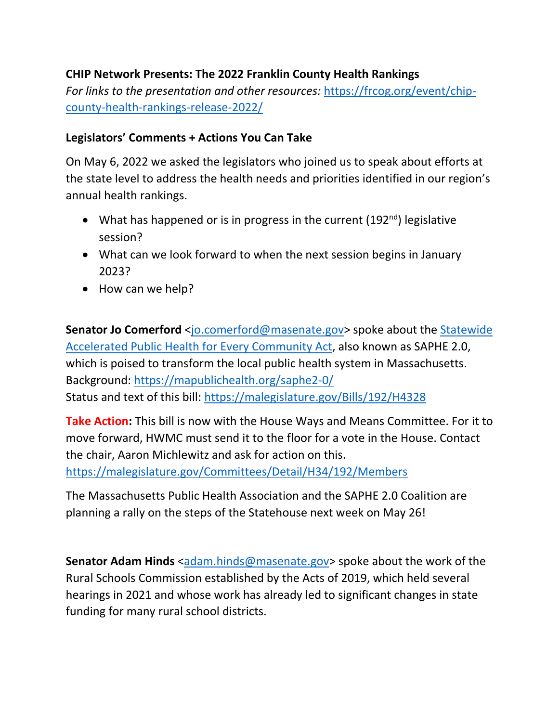## **CHIP Network Presents: The 2022 Franklin County Health Rankings**

*For links to the presentation and other resources:* [https://frcog.org/event/chip](https://frcog.org/event/chip-county-health-rankings-release-2022/)[county-health-rankings-release-2022/](https://frcog.org/event/chip-county-health-rankings-release-2022/) 

## **Legislators' Comments + Actions You Can Take**

On May 6, 2022 we asked the legislators who joined us to speak about efforts at the state level to address the health needs and priorities identified in our region's annual health rankings.

- What has happened or is in progress in the current  $(192<sup>nd</sup>)$  legislative session?
- What can we look forward to when the next session begins in January 2023?
- How can we help?

**Senator Jo Comerford** [<jo.comerford@masenate.gov>](mailto:jo.comerford@masenate.gov) spoke about the Statewide [Accelerated Public Health for Every Community Act,](https://mapublichealth.org/wp-content/uploads/2022/04/2022-SAPHE-2.0-Fact-Sheet-.pdf) also known as SAPHE 2.0, which is poised to transform the local public health system in Massachusetts. Background:<https://mapublichealth.org/saphe2-0/> Status and text of this bill:<https://malegislature.gov/Bills/192/H4328>

**Take Action:** This bill is now with the House Ways and Means Committee. For it to move forward, HWMC must send it to the floor for a vote in the House. Contact the chair, Aaron Michlewitz and ask for action on this. <https://malegislature.gov/Committees/Detail/H34/192/Members>

The Massachusetts Public Health Association and the SAPHE 2.0 Coalition are planning a rally on the steps of the Statehouse next week on May 26!

**Senator Adam Hinds** [<adam.hinds@masenate.gov>](mailto:adam.hinds@masenate.gov) spoke about the work of the Rural Schools Commission established by the Acts of 2019, which held several hearings in 2021 and whose work has already led to significant changes in state funding for many rural school districts.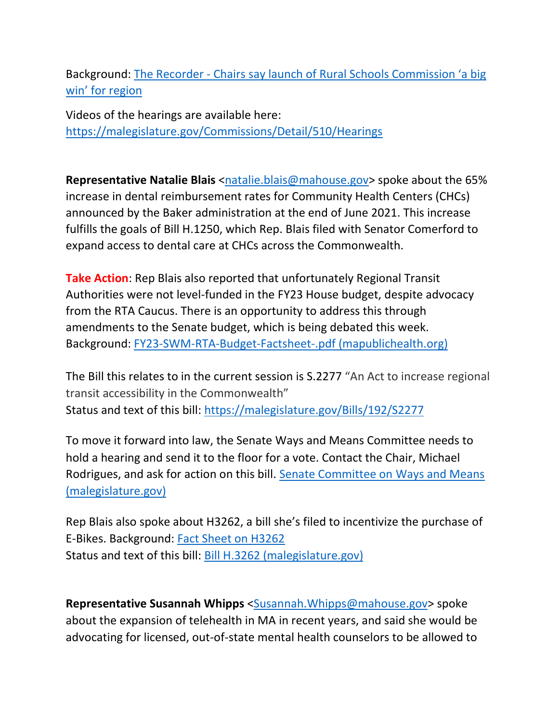Background: [The Recorder - Chairs say launch of Rural Schools Commission 'a big](https://www.recorder.com/Chairs-say-launch-of-Rural-Schools-Commission--a-big-win--for-region-40409595)  [win' for region](https://www.recorder.com/Chairs-say-launch-of-Rural-Schools-Commission--a-big-win--for-region-40409595)

Videos of the hearings are available here: <https://malegislature.gov/Commissions/Detail/510/Hearings>

**Representative Natalie Blais** [<natalie.blais@mahouse.gov>](mailto:natalie.blais@mahouse.gov) spoke about the 65% increase in dental reimbursement rates for Community Health Centers (CHCs) announced by the Baker administration at the end of June 2021. This increase fulfills the goals of Bill H.1250, which Rep. Blais filed with Senator Comerford to expand access to dental care at CHCs across the Commonwealth.

**Take Action**: Rep Blais also reported that unfortunately Regional Transit Authorities were not level-funded in the FY23 House budget, despite advocacy from the RTA Caucus. There is an opportunity to address this through amendments to the Senate budget, which is being debated this week. Background: [FY23-SWM-RTA-Budget-Factsheet-.pdf \(mapublichealth.org\)](https://mapublichealth.org/wp-content/uploads/2022/05/FY23-SWM-RTA-Budget-Factsheet-.pdf)

The Bill this relates to in the current session is S.2277 "An Act to increase regional transit accessibility in the Commonwealth" Status and text of this bill:<https://malegislature.gov/Bills/192/S2277>

To move it forward into law, the Senate Ways and Means Committee needs to hold a hearing and send it to the floor for a vote. Contact the Chair, Michael Rodrigues, and ask for action on this bill. [Senate Committee on Ways and Means](https://malegislature.gov/Committees/Detail/S30)  [\(malegislature.gov\)](https://malegislature.gov/Committees/Detail/S30)

Rep Blais also spoke about H3262, a bill she's filed to incentivize the purchase of E-Bikes. Background: [Fact Sheet on H3262](https://drive.google.com/file/d/1Hr4NqhFGty1zHJ5T3pJ0_qJxZlSWIx2w/view) Status and text of this bill: [Bill H.3262 \(malegislature.gov\)](https://malegislature.gov/Bills/192/H3262)

**Representative Susannah Whipps** [<Susannah.Whipps@mahouse.gov>](mailto:Susannah.Whipps@mahouse.gov) spoke about the expansion of telehealth in MA in recent years, and said she would be advocating for licensed, out-of-state mental health counselors to be allowed to